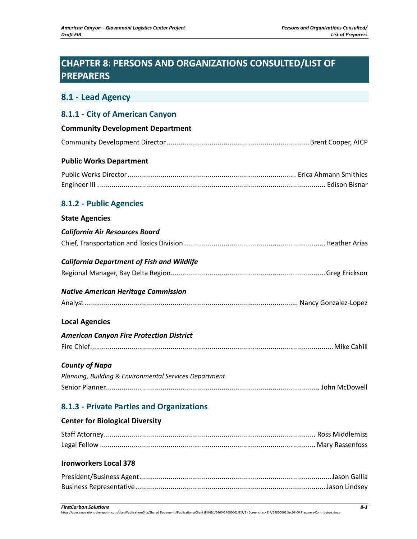# **CHAPTER 8: PERSONS AND ORGANIZATIONS CONSULTED/LIST OF PREPARERS**

| 8.1 - Lead Agency                                      |  |
|--------------------------------------------------------|--|
| 8.1.1 - City of American Canyon                        |  |
| <b>Community Development Department</b>                |  |
|                                                        |  |
| <b>Public Works Department</b>                         |  |
|                                                        |  |
| 8.1.2 - Public Agencies                                |  |
| <b>State Agencies</b>                                  |  |
| <b>California Air Resources Board</b>                  |  |
|                                                        |  |
| <b>California Department of Fish and Wildlife</b>      |  |
|                                                        |  |
| <b>Native American Heritage Commission</b>             |  |
|                                                        |  |
| <b>Local Agencies</b>                                  |  |
| <b>American Canyon Fire Protection District</b>        |  |
|                                                        |  |
| <b>County of Napa</b>                                  |  |
| Planning, Building & Environmental Services Department |  |
|                                                        |  |
| 8.1.3 - Private Parties and Organizations              |  |
| <b>Center for Biological Diversity</b>                 |  |
|                                                        |  |
|                                                        |  |
| <b>Ironworkers Local 378</b>                           |  |
|                                                        |  |
|                                                        |  |